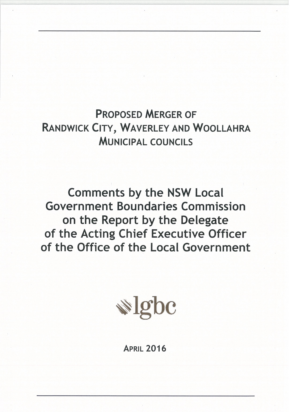**PROPOSED MERGER OF** RANDWICK CITY, WAVERLEY AND WOOLLAHRA **MUNICIPAL COUNCILS** 

**Comments by the NSW Local Government Boundaries Commission** on the Report by the Delegate of the Acting Chief Executive Officer of the Office of the Local Government



**APRIL 2016**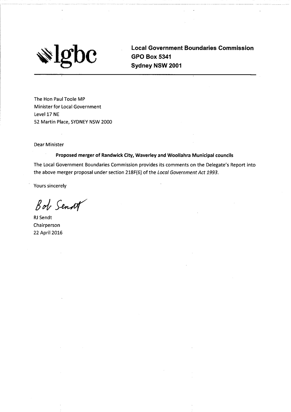

**Local Government Boundaries Commission GPO Box 5341** Sydney NSW 2001

The Hon Paul Toole MP **Minister for Local Government** Level 17 NE 52 Martin Place, SYDNEY NSW 2000

**Dear Minister** 

Proposed merger of Randwick City, Waverley and Woollahra Municipal councils

The Local Government Boundaries Commission provides its comments on the Delegate's Report into the above merger proposal under section 218F(6) of the Local Government Act 1993.

**Yours sincerely** 

Bob Sendt

**RJ** Sendt Chairperson 22 April 2016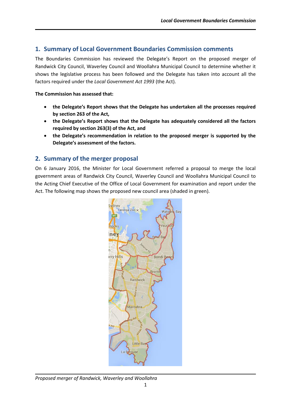# **1. Summary of Local Government Boundaries Commission comments**

The Boundaries Commission has reviewed the Delegate's Report on the proposed merger of Randwick City Council, Waverley Council and Woollahra Municipal Council to determine whether it shows the legislative process has been followed and the Delegate has taken into account all the factors required under the *Local Government Act 1993* (the Act).

#### **The Commission has assessed that:**

- **the Delegate's Report shows that the Delegate has undertaken all the processes required by section 263 of the Act,**
- **the Delegate's Report shows that the Delegate has adequately considered all the factors required by section 263(3) of the Act, and**
- **the Delegate's recommendation in relation to the proposed merger is supported by the Delegate's assessment of the factors.**

# **2. Summary of the merger proposal**

On 6 January 2016, the Minister for Local Government referred a proposal to merge the local government areas of Randwick City Council, Waverley Council and Woollahra Municipal Council to the Acting Chief Executive of the Office of Local Government for examination and report under the Act. The following map shows the proposed new council area (shaded in green).



*Proposed merger of Randwick, Waverley and Woollahra*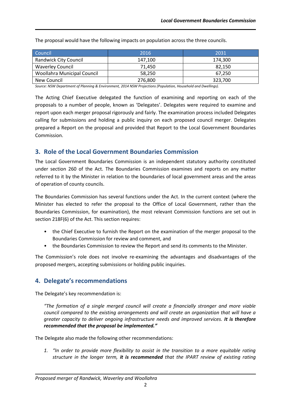| Council                      | 2016    | 2031    |
|------------------------------|---------|---------|
| <b>Randwick City Council</b> | 147.100 | 174.300 |
| <b>Waverley Council</b>      | 71.450  | 82.150  |
| Woollahra Municipal Council  | 58,250  | 67,250  |
| New Council                  | 276,800 | 323,700 |

The proposal would have the following impacts on population across the three councils.

*Source: NSW Department of Planning & Environment, 2014 NSW Projections (Population, Household and Dwellings).*

The Acting Chief Executive delegated the function of examining and reporting on each of the proposals to a number of people, known as 'Delegates'. Delegates were required to examine and report upon each merger proposal rigorously and fairly. The examination process included Delegates calling for submissions and holding a public inquiry on each proposed council merger. Delegates prepared a Report on the proposal and provided that Report to the Local Government Boundaries Commission.

# **3. Role of the Local Government Boundaries Commission**

The Local Government Boundaries Commission is an independent statutory authority constituted under section 260 of the Act. The Boundaries Commission examines and reports on any matter referred to it by the Minister in relation to the boundaries of local government areas and the areas of operation of county councils.

The Boundaries Commission has several functions under the Act. In the current context (where the Minister has elected to refer the proposal to the Office of Local Government, rather than the Boundaries Commission, for examination), the most relevant Commission functions are set out in section 218F(6) of the Act. This section requires:

- the Chief Executive to furnish the Report on the examination of the merger proposal to the Boundaries Commission for review and comment, and
- the Boundaries Commission to review the Report and send its comments to the Minister.

The Commission's role does not involve re-examining the advantages and disadvantages of the proposed mergers, accepting submissions or holding public inquiries.

# **4. Delegate's recommendations**

The Delegate's key recommendation is:

*"The formation of a single merged council will create a financially stronger and more viable council compared to the existing arrangements and will create an organization that will have a greater capacity to deliver ongoing infrastructure needs and improved services. It is therefore recommended that the proposal be implemented."*

The Delegate also made the following other recommendations:

*1. "In order to provide more flexibility to assist in the transition to a more equitable rating structure in the longer term, it is recommended that the IPART review of existing rating*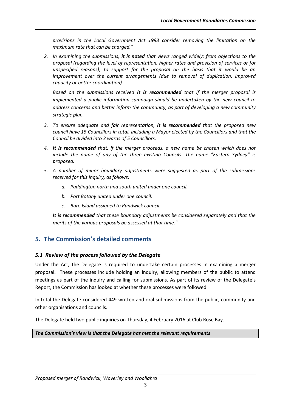*provisions in the Local Government Act 1993 consider removing the limitation on the maximum rate that can be charged."*

*2. In examining the submissions, it is noted that views ranged widely: from objections to the proposal (regarding the level of representation, higher rates and provision of services or for unspecified reasons); to support for the proposal on the basis that it would be an improvement over the current arrangements (due to removal of duplication, improved capacity or better coordination)* 

*Based on the submissions received it is recommended that if the merger proposal is implemented a public information campaign should be undertaken by the new council to address concerns and better inform the community, as part of developing a new community strategic plan.* 

- *3. To ensure adequate and fair representation, it is recommended that the proposed new council have 15 Councillors in total, including a Mayor elected by the Councillors and that the Council be divided into 3 wards of 5 Councillors.*
- *4. It is recommended that, if the merger proceeds, a new name be chosen which does not include the name of any of the three existing Councils. The name "Eastern Sydney" is proposed.*
- *5. A number of minor boundary adjustments were suggested as part of the submissions received for this inquiry, as follows:* 
	- *a. Paddington north and south united under one council.*
	- *b. Port Botany united under one council.*
	- *c. Bare Island assigned to Randwick council.*

*It is recommended that these boundary adjustments be considered separately and that the merits of the various proposals be assessed at that time."*

# **5. The Commission's detailed comments**

## *5.1 Review of the process followed by the Delegate*

Under the Act, the Delegate is required to undertake certain processes in examining a merger proposal. These processes include holding an inquiry, allowing members of the public to attend meetings as part of the inquiry and calling for submissions. As part of its review of the Delegate's Report, the Commission has looked at whether these processes were followed.

In total the Delegate considered 449 written and oral submissions from the public, community and other organisations and councils.

The Delegate held two public inquiries on Thursday, 4 February 2016 at Club Rose Bay.

*The Commission's view is that the Delegate has met the relevant requirements*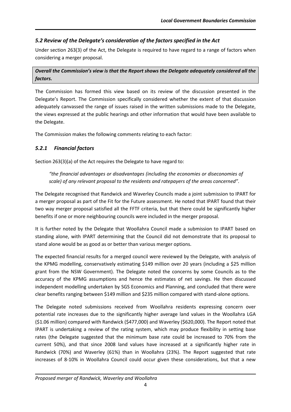# *5.2 Review of the Delegate's consideration of the factors specified in the Act*

Under section 263(3) of the Act, the Delegate is required to have regard to a range of factors when considering a merger proposal.

## *Overall the Commission's view is that the Report shows the Delegate adequately considered all the factors.*

The Commission has formed this view based on its review of the discussion presented in the Delegate's Report. The Commission specifically considered whether the extent of that discussion adequately canvassed the range of issues raised in the written submissions made to the Delegate, the views expressed at the public hearings and other information that would have been available to the Delegate.

The Commission makes the following comments relating to each factor:

# *5.2.1 Financial factors*

Section 263(3)(a) of the Act requires the Delegate to have regard to:

*"the financial advantages or disadvantages (including the economies or diseconomies of scale) of any relevant proposal to the residents and ratepayers of the areas concerned".*

The Delegate recognised that Randwick and Waverley Councils made a joint submission to IPART for a merger proposal as part of the Fit for the Future assessment. He noted that IPART found that their two way merger proposal satisfied all the FFTF criteria, but that there could be significantly higher benefits if one or more neighbouring councils were included in the merger proposal.

It is further noted by the Delegate that Woollahra Council made a submission to IPART based on standing alone, with IPART determining that the Council did not demonstrate that its proposal to stand alone would be as good as or better than various merger options.

The expected financial results for a merged council were reviewed by the Delegate, with analysis of the KPMG modelling, conservatively estimating \$149 million over 20 years (including a \$25 million grant from the NSW Government). The Delegate noted the concerns by some Councils as to the accuracy of the KPMG assumptions and hence the estimates of net savings. He then discussed independent modelling undertaken by SGS Economics and Planning, and concluded that there were clear benefits ranging between \$149 million and \$235 million compared with stand-alone options.

The Delegate noted submissions received from Woollahra residents expressing concern over potential rate increases due to the significantly higher average land values in the Woollahra LGA (\$1.06 million) compared with Randwick (\$477,000) and Waverley (\$620,000). The Report noted that IPART is undertaking a review of the rating system, which may produce flexibility in setting base rates (the Delegate suggested that the minimum base rate could be increased to 70% from the current 50%), and that since 2008 land values have increased at a significantly higher rate in Randwick (70%) and Waverley (61%) than in Woollahra (23%). The Report suggested that rate increases of 8-10% in Woollahra Council could occur given these considerations, but that a new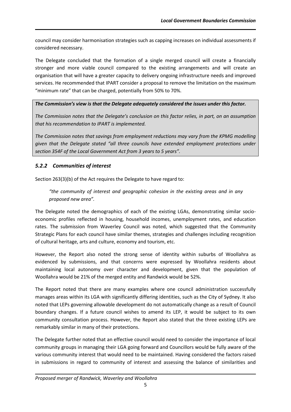council may consider harmonisation strategies such as capping increases on individual assessments if considered necessary.

The Delegate concluded that the formation of a single merged council will create a financially stronger and more viable council compared to the existing arrangements and will create an organisation that will have a greater capacity to delivery ongoing infrastructure needs and improved services. He recommended that IPART consider a proposal to remove the limitation on the maximum "minimum rate" that can be charged, potentially from 50% to 70%.

# *The Commission's view is that the Delegate adequately considered the issues under this factor.*

*The Commission notes that the Delegate's conclusion on this factor relies, in part, on an assumption that his recommendation to IPART is implemented.*

*The Commission notes that savings from employment reductions may vary from the KPMG modelling given that the Delegate stated "all three councils have extended employment protections under section 354F of the Local Government Act from 3 years to 5 years".*

# *5.2.2 Communities of interest*

Section 263(3)(b) of the Act requires the Delegate to have regard to:

*"the community of interest and geographic cohesion in the existing areas and in any proposed new area".*

The Delegate noted the demographics of each of the existing LGAs, demonstrating similar socioeconomic profiles reflected in housing, household incomes, unemployment rates, and education rates. The submission from Waverley Council was noted, which suggested that the Community Strategic Plans for each council have similar themes, strategies and challenges including recognition of cultural heritage, arts and culture, economy and tourism, etc.

However, the Report also noted the strong sense of identity within suburbs of Woollahra as evidenced by submissions, and that concerns were expressed by Woollahra residents about maintaining local autonomy over character and development, given that the population of Woollahra would be 21% of the merged entity and Randwick would be 52%.

The Report noted that there are many examples where one council administration successfully manages areas within its LGA with significantly differing identities, such as the City of Sydney. It also noted that LEPs governing allowable development do not automatically change as a result of Council boundary changes. If a future council wishes to amend its LEP, it would be subject to its own community consultation process. However, the Report also stated that the three existing LEPs are remarkably similar in many of their protections.

The Delegate further noted that an effective council would need to consider the importance of local community groups in managing their LGA going forward and Councillors would be fully aware of the various community interest that would need to be maintained. Having considered the factors raised in submissions in regard to community of interest and assessing the balance of similarities and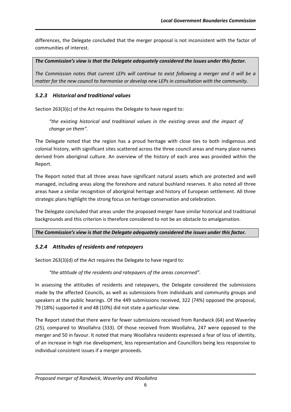differences, the Delegate concluded that the merger proposal is not inconsistent with the factor of communities of interest.

*The Commission's view is that the Delegate adequately considered the issues under this factor.*

*The Commission notes that current LEPs will continue to exist following a merger and it will be a matter for the new council to harmonise or develop new LEPs in consultation with the community.*

# *5.2.3 Historical and traditional values*

Section 263(3)(c) of the Act requires the Delegate to have regard to:

*"the existing historical and traditional values in the existing areas and the impact of change on them".*

The Delegate noted that the region has a proud heritage with close ties to both indigenous and colonial history, with significant sites scattered across the three council areas and many place names derived from aboriginal culture. An overview of the history of each area was provided within the Report.

The Report noted that all three areas have significant natural assets which are protected and well managed, including areas along the foreshore and natural bushland reserves. It also noted all three areas have a similar recognition of aboriginal heritage and history of European settlement. All three strategic plans highlight the strong focus on heritage conservation and celebration.

The Delegate concluded that areas under the proposed merger have similar historical and traditional backgrounds and this criterion is therefore considered to not be an obstacle to amalgamation.

#### *The Commission's view is that the Delegate adequately considered the issues under this factor.*

# *5.2.4 Attitudes of residents and ratepayers*

Section 263(3)(d) of the Act requires the Delegate to have regard to:

*"the attitude of the residents and ratepayers of the areas concerned".*

In assessing the attitudes of residents and ratepayers, the Delegate considered the submissions made by the affected Councils, as well as submissions from individuals and community groups and speakers at the public hearings. Of the 449 submissions received, 322 (74%) opposed the proposal, 79 (18%) supported it and 48 (10%) did not state a particular view.

The Report stated that there were far fewer submissions received from Randwick (64) and Waverley (25), compared to Woollahra (333). Of those received from Woollahra, 247 were opposed to the merger and 50 in favour. It noted that many Woollahra residents expressed a fear of loss of identity, of an increase in high rise development, less representation and Councillors being less responsive to individual consistent issues if a merger proceeds.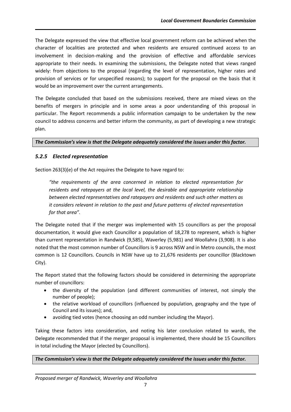The Delegate expressed the view that effective local government reform can be achieved when the character of localities are protected and when residents are ensured continued access to an involvement in decision-making and the provision of effective and affordable services appropriate to their needs. In examining the submissions, the Delegate noted that views ranged widely: from objections to the proposal (regarding the level of representation, higher rates and provision of services or for unspecified reasons); to support for the proposal on the basis that it would be an improvement over the current arrangements.

The Delegate concluded that based on the submissions received, there are mixed views on the benefits of mergers in principle and in some areas a poor understanding of this proposal in particular. The Report recommends a public information campaign to be undertaken by the new council to address concerns and better inform the community, as part of developing a new strategic plan.

#### *The Commission's view is that the Delegate adequately considered the issues under this factor.*

### *5.2.5 Elected representation*

Section 263(3)(e) of the Act requires the Delegate to have regard to:

*"the requirements of the area concerned in relation to elected representation for residents and ratepayers at the local level, the desirable and appropriate relationship between elected representatives and ratepayers and residents and such other matters as it considers relevant in relation to the past and future patterns of elected representation for that area".*

The Delegate noted that if the merger was implemented with 15 councillors as per the proposal documentation, it would give each Councillor a population of 18,278 to represent, which is higher than current representation in Randwick (9,585), Waverley (5,981) and Woollahra (3,908). It is also noted that the most common number of Councillors is 9 across NSW and in Metro councils, the most common is 12 Councillors. Councils in NSW have up to 21,676 residents per councillor (Blacktown City).

The Report stated that the following factors should be considered in determining the appropriate number of councillors:

- the diversity of the population (and different communities of interest, not simply the number of people);
- the relative workload of councillors (influenced by population, geography and the type of Council and its issues); and,
- avoiding tied votes (hence choosing an odd number including the Mayor).

Taking these factors into consideration, and noting his later conclusion related to wards, the Delegate recommended that if the merger proposal is implemented, there should be 15 Councillors in total including the Mayor (elected by Councillors).

*The Commission's view is that the Delegate adequately considered the issues under this factor.*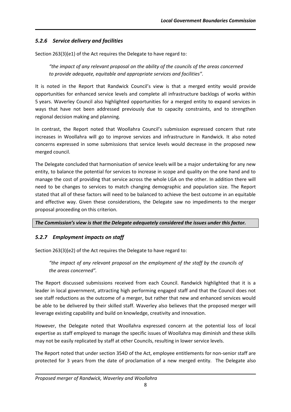# *5.2.6 Service delivery and facilities*

Section 263(3)(e1) of the Act requires the Delegate to have regard to:

*"the impact of any relevant proposal on the ability of the councils of the areas concerned to provide adequate, equitable and appropriate services and facilities".*

It is noted in the Report that Randwick Council's view is that a merged entity would provide opportunities for enhanced service levels and complete all infrastructure backlogs of works within 5 years. Waverley Council also highlighted opportunities for a merged entity to expand services in ways that have not been addressed previously due to capacity constraints, and to strengthen regional decision making and planning.

In contrast, the Report noted that Woollahra Council's submission expressed concern that rate increases in Woollahra will go to improve services and infrastructure in Randwick. It also noted concerns expressed in some submissions that service levels would decrease in the proposed new merged council.

The Delegate concluded that harmonisation of service levels will be a major undertaking for any new entity, to balance the potential for services to increase in scope and quality on the one hand and to manage the cost of providing that service across the whole LGA on the other. In addition there will need to be changes to services to match changing demographic and population size. The Report stated that all of these factors will need to be balanced to achieve the best outcome in an equitable and effective way. Given these considerations, the Delegate saw no impediments to the merger proposal proceeding on this criterion.

#### *The Commission's view is that the Delegate adequately considered the issues under this factor.*

## *5.2.7 Employment impacts on staff*

Section 263(3)(e2) of the Act requires the Delegate to have regard to:

*"the impact of any relevant proposal on the employment of the staff by the councils of the areas concerned".*

The Report discussed submissions received from each Council. Randwick highlighted that it is a leader in local government, attracting high performing engaged staff and that the Council does not see staff reductions as the outcome of a merger, but rather that new and enhanced services would be able to be delivered by their skilled staff. Waverley also believes that the proposed merger will leverage existing capability and build on knowledge, creativity and innovation.

However, the Delegate noted that Woollahra expressed concern at the potential loss of local expertise as staff employed to manage the specific issues of Woollahra may diminish and these skills may not be easily replicated by staff at other Councils, resulting in lower service levels.

The Report noted that under section 354D of the Act, employee entitlements for non-senior staff are protected for 3 years from the date of proclamation of a new merged entity. The Delegate also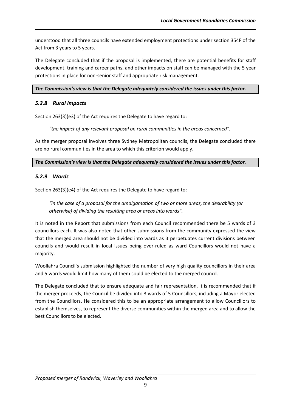understood that all three councils have extended employment protections under section 354F of the Act from 3 years to 5 years.

The Delegate concluded that if the proposal is implemented, there are potential benefits for staff development, training and career paths, and other impacts on staff can be managed with the 5 year protections in place for non-senior staff and appropriate risk management.

#### *The Commission's view is that the Delegate adequately considered the issues under this factor.*

## *5.2.8 Rural impacts*

Section 263(3)(e3) of the Act requires the Delegate to have regard to:

*"the impact of any relevant proposal on rural communities in the areas concerned".*

As the merger proposal involves three Sydney Metropolitan councils, the Delegate concluded there are no rural communities in the area to which this criterion would apply.

### The Commission's view is that the Delegate adequately considered the issues under this factor.

## *5.2.9 Wards*

Section 263(3)(e4) of the Act requires the Delegate to have regard to:

*"in the case of a proposal for the amalgamation of two or more areas, the desirability (or otherwise) of dividing the resulting area or areas into wards".*

It is noted in the Report that submissions from each Council recommended there be 5 wards of 3 councillors each. It was also noted that other submissions from the community expressed the view that the merged area should not be divided into wards as it perpetuates current divisions between councils and would result in local issues being over-ruled as ward Councillors would not have a majority.

Woollahra Council's submission highlighted the number of very high quality councillors in their area and 5 wards would limit how many of them could be elected to the merged council.

The Delegate concluded that to ensure adequate and fair representation, it is recommended that if the merger proceeds, the Council be divided into 3 wards of 5 Councillors, including a Mayor elected from the Councillors. He considered this to be an appropriate arrangement to allow Councillors to establish themselves, to represent the diverse communities within the merged area and to allow the best Councillors to be elected.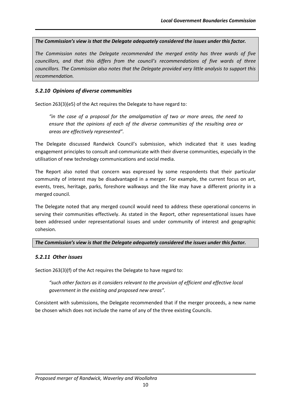#### *The Commission's view is that the Delegate adequately considered the issues under this factor.*

*The Commission notes the Delegate recommended the merged entity has three wards of five councillors, and that this differs from the council's recommendations of five wards of three councillors. The Commission also notes that the Delegate provided very little analysis to support this recommendation.*

# *5.2.10 Opinions of diverse communities*

Section 263(3)(e5) of the Act requires the Delegate to have regard to:

*"in the case of a proposal for the amalgamation of two or more areas, the need to ensure that the opinions of each of the diverse communities of the resulting area or areas are effectively represented".*

The Delegate discussed Randwick Council's submission, which indicated that it uses leading engagement principles to consult and communicate with their diverse communities, especially in the utilisation of new technology communications and social media.

The Report also noted that concern was expressed by some respondents that their particular community of interest may be disadvantaged in a merger. For example, the current focus on art, events, trees, heritage, parks, foreshore walkways and the like may have a different priority in a merged council.

The Delegate noted that any merged council would need to address these operational concerns in serving their communities effectively. As stated in the Report, other representational issues have been addressed under representational issues and under community of interest and geographic cohesion.

#### *The Commission's view is that the Delegate adequately considered the issues under this factor.*

## *5.2.11 Other issues*

Section 263(3)(f) of the Act requires the Delegate to have regard to:

*"such other factors as it considers relevant to the provision of efficient and effective local government in the existing and proposed new areas".*

Consistent with submissions, the Delegate recommended that if the merger proceeds, a new name be chosen which does not include the name of any of the three existing Councils.